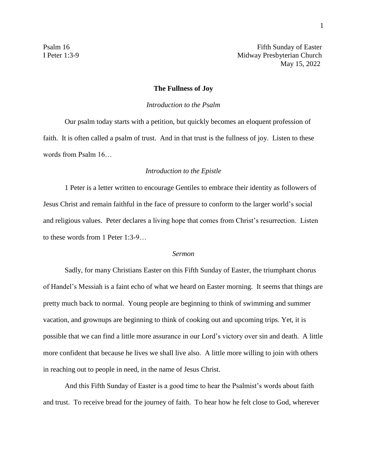Psalm 16 Fifth Sunday of Easter I Peter 1:3-9 Midway Presbyterian Church May 15, 2022

## **The Fullness of Joy**

## *Introduction to the Psalm*

Our psalm today starts with a petition, but quickly becomes an eloquent profession of faith. It is often called a psalm of trust. And in that trust is the fullness of joy. Listen to these words from Psalm 16…

## *Introduction to the Epistle*

1 Peter is a letter written to encourage Gentiles to embrace their identity as followers of Jesus Christ and remain faithful in the face of pressure to conform to the larger world's social and religious values. Peter declares a living hope that comes from Christ's resurrection. Listen to these words from 1 Peter 1:3-9…

## *Sermon*

Sadly, for many Christians Easter on this Fifth Sunday of Easter, the triumphant chorus of Handel's Messiah is a faint echo of what we heard on Easter morning. It seems that things are pretty much back to normal. Young people are beginning to think of swimming and summer vacation, and grownups are beginning to think of cooking out and upcoming trips. Yet, it is possible that we can find a little more assurance in our Lord's victory over sin and death. A little more confident that because he lives we shall live also. A little more willing to join with others in reaching out to people in need, in the name of Jesus Christ.

And this Fifth Sunday of Easter is a good time to hear the Psalmist's words about faith and trust. To receive bread for the journey of faith. To hear how he felt close to God, wherever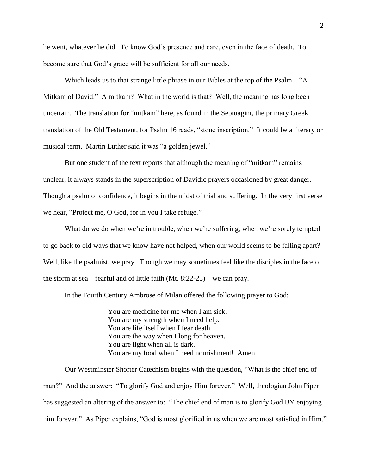he went, whatever he did. To know God's presence and care, even in the face of death. To become sure that God's grace will be sufficient for all our needs.

Which leads us to that strange little phrase in our Bibles at the top of the Psalm—"A Mitkam of David." A mitkam? What in the world is that? Well, the meaning has long been uncertain. The translation for "mitkam" here, as found in the Septuagint, the primary Greek translation of the Old Testament, for Psalm 16 reads, "stone inscription." It could be a literary or musical term. Martin Luther said it was "a golden jewel."

But one student of the text reports that although the meaning of "mitkam" remains unclear, it always stands in the superscription of Davidic prayers occasioned by great danger. Though a psalm of confidence, it begins in the midst of trial and suffering. In the very first verse we hear, "Protect me, O God, for in you I take refuge."

What do we do when we're in trouble, when we're suffering, when we're sorely tempted to go back to old ways that we know have not helped, when our world seems to be falling apart? Well, like the psalmist, we pray. Though we may sometimes feel like the disciples in the face of the storm at sea—fearful and of little faith (Mt. 8:22-25)—we can pray.

In the Fourth Century Ambrose of Milan offered the following prayer to God:

You are medicine for me when I am sick. You are my strength when I need help. You are life itself when I fear death. You are the way when I long for heaven. You are light when all is dark. You are my food when I need nourishment! Amen

Our Westminster Shorter Catechism begins with the question, "What is the chief end of man?" And the answer: "To glorify God and enjoy Him forever." Well, theologian John Piper has suggested an altering of the answer to: "The chief end of man is to glorify God BY enjoying him forever." As Piper explains, "God is most glorified in us when we are most satisfied in Him."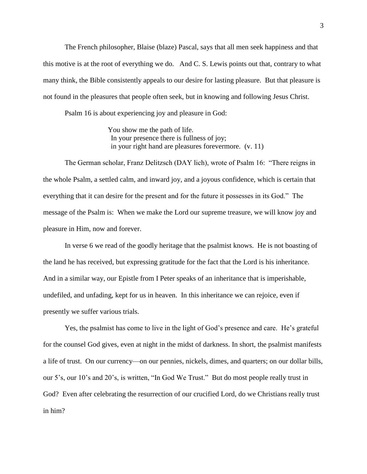The French philosopher, Blaise (blaze) Pascal, says that all men seek happiness and that this motive is at the root of everything we do. And C. S. Lewis points out that, contrary to what many think, the Bible consistently appeals to our desire for lasting pleasure. But that pleasure is not found in the pleasures that people often seek, but in knowing and following Jesus Christ.

Psalm 16 is about experiencing joy and pleasure in God:

You show me the path of life. In your presence there is fullness of joy; in your right hand are pleasures forevermore. (v. 11)

The German scholar, Franz Delitzsch (DAY lich), wrote of Psalm 16: "There reigns in the whole Psalm, a settled calm, and inward joy, and a joyous confidence, which is certain that everything that it can desire for the present and for the future it possesses in its God." The message of the Psalm is: When we make the Lord our supreme treasure, we will know joy and pleasure in Him, now and forever.

In verse 6 we read of the goodly heritage that the psalmist knows. He is not boasting of the land he has received, but expressing gratitude for the fact that the Lord is his inheritance. And in a similar way, our Epistle from I Peter speaks of an inheritance that is imperishable, undefiled, and unfading, kept for us in heaven. In this inheritance we can rejoice, even if presently we suffer various trials.

Yes, the psalmist has come to live in the light of God's presence and care. He's grateful for the counsel God gives, even at night in the midst of darkness. In short, the psalmist manifests a life of trust. On our currency—on our pennies, nickels, dimes, and quarters; on our dollar bills, our 5's, our 10's and 20's, is written, "In God We Trust." But do most people really trust in God? Even after celebrating the resurrection of our crucified Lord, do we Christians really trust in him?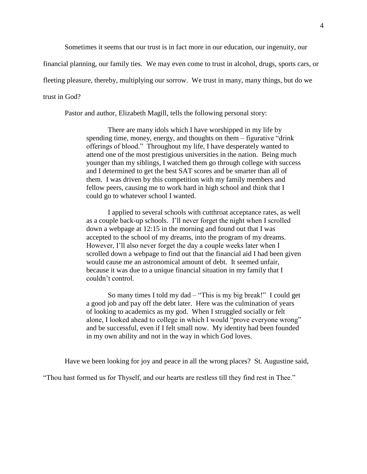Sometimes it seems that our trust is in fact more in our education, our ingenuity, our

financial planning, our family ties. We may even come to trust in alcohol, drugs, sports cars, or

fleeting pleasure, thereby, multiplying our sorrow. We trust in many, many things, but do we

trust in God?

Pastor and author, Elizabeth Magill, tells the following personal story:

There are many idols which I have worshipped in my life by spending time, money, energy, and thoughts on them – figurative "drink offerings of blood." Throughout my life, I have desperately wanted to attend one of the most prestigious universities in the nation. Being much younger than my siblings, I watched them go through college with success and I determined to get the best SAT scores and be smarter than all of them. I was driven by this competition with my family members and fellow peers, causing me to work hard in high school and think that I could go to whatever school I wanted.

I applied to several schools with cutthroat acceptance rates, as well as a couple back-up schools. I'll never forget the night when I scrolled down a webpage at 12:15 in the morning and found out that I was accepted to the school of my dreams, into the program of my dreams. However, I'll also never forget the day a couple weeks later when I scrolled down a webpage to find out that the financial aid I had been given would cause me an astronomical amount of debt. It seemed unfair, because it was due to a unique financial situation in my family that I couldn't control.

So many times I told my dad – "This is my big break!" I could get a good job and pay off the debt later. Here was the culmination of years of looking to academics as my god. When I struggled socially or felt alone, I looked ahead to college in which I would "prove everyone wrong" and be successful, even if I felt small now. My identity had been founded in my own ability and not in the way in which God loves.

Have we been looking for joy and peace in all the wrong places? St. Augustine said,

"Thou hast formed us for Thyself, and our hearts are restless till they find rest in Thee."